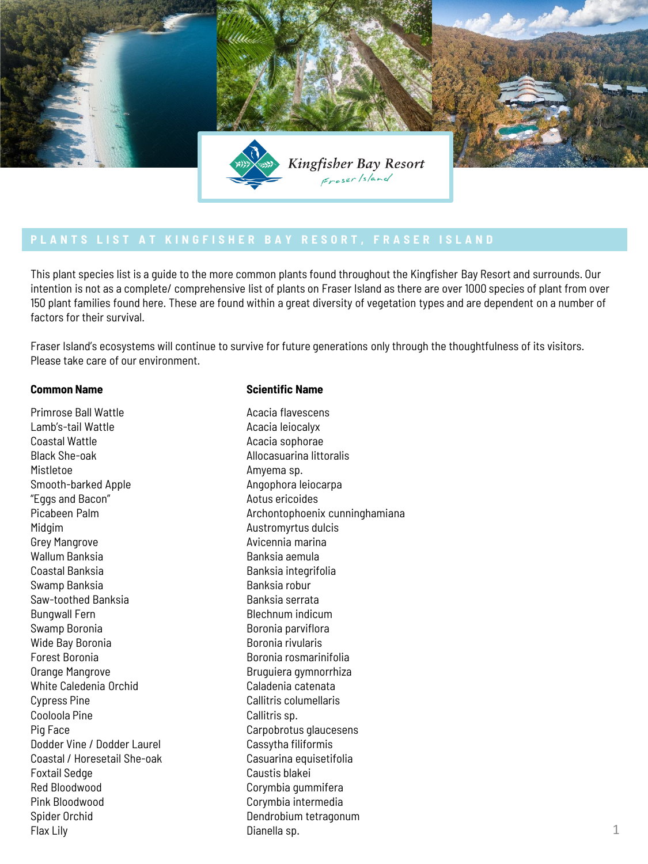

This plant species list is a guide to the more common plants found throughout the Kingfisher Bay Resort and surrounds. Our intention is not as a complete/ comprehensive list of plants on Fraser Island as there are over 1000 species of plant from over 150 plant families found here. These are found within a great diversity of vegetation types and are dependent on a number of factors for their survival.

Fraser Island's ecosystems will continue to survive for future generations only through the thoughtfulness of its visitors. Please take care of our environment.

Primrose Ball Wattle Lamb's-tail Wattle Coastal Wattle Black She-oak Mistletoe Smooth-barked Apple "Eggs and Bacon" Picabeen Palm Midgim Grey Mangrove Wallum Banksia Coastal Banksia Swamp Banksia Saw-toothed Banksia Bungwall Fern Swamp Boronia Wide Bay Boronia Forest Boronia Orange Mangrove White Caledenia Orchid Cypress Pine Cooloola Pine Pig Face Dodder Vine / Dodder Laurel Coastal / Horesetail She-oak Foxtail Sedge Red Bloodwood Pink Bloodwood Spider Orchid Flax Lily

## **Common Name** Scientific Name

Acacia flavescens Acacia leiocalyx Acacia sophorae Allocasuarina littoralis Amyema sp. Angophora leiocarpa Aotus ericoides Archontophoenix cunninghamiana Austromyrtus dulcis Avicennia marina Banksia aemula Banksia integrifolia Banksia robur Banksia serrata Blechnum indicum Boronia parviflora Boronia rivularis Boronia rosmarinifolia Bruguiera gymnorrhiza Caladenia catenata Callitris columellaris Callitris sp. Carpobrotus glaucesens Cassytha filiformis Casuarina equisetifolia Caustis blakei Corymbia gummifera Corymbia intermedia Dendrobium tetragonum Dianella sp.